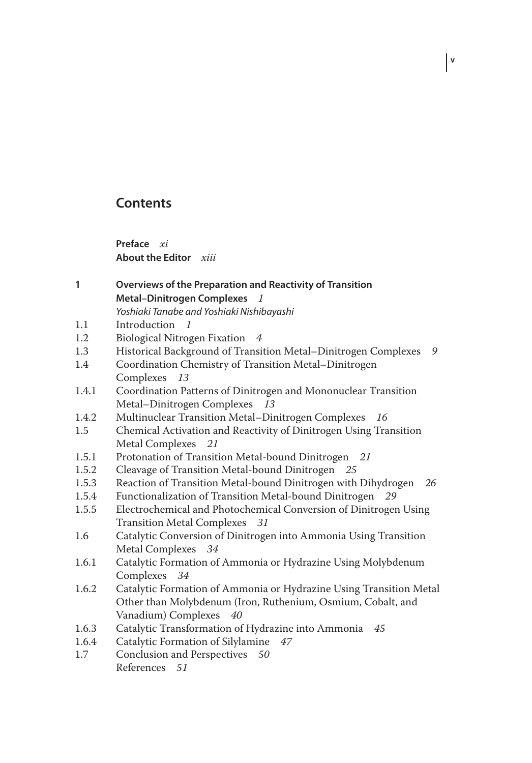## **Contents**

**Preface** *xi* **About the Editor** *xiii*

- **1 Overviews of the Preparation and Reactivity of Transition Metal–Dinitrogen Complexes** *1* Yoshiaki Tanabe and Yoshiaki Nishibayashi
- 1.1 Introduction *1*
- 1.2 Biological Nitrogen Fixation *4*
- 1.3 Historical Background of Transition Metal–Dinitrogen Complexes *9*

**v**

- 1.4 Coordination Chemistry of Transition Metal–Dinitrogen Complexes *13*
- 1.4.1 Coordination Patterns of Dinitrogen and Mononuclear Transition Metal–Dinitrogen Complexes *13*
- 1.4.2 Multinuclear Transition Metal–Dinitrogen Complexes *16*
- 1.5 Chemical Activation and Reactivity of Dinitrogen Using Transition Metal Complexes *21*
- 1.5.1 Protonation of Transition Metal-bound Dinitrogen *21*
- 1.5.2 Cleavage of Transition Metal-bound Dinitrogen *25*
- 1.5.3 Reaction of Transition Metal-bound Dinitrogen with Dihydrogen *26*
- 1.5.4 Functionalization of Transition Metal-bound Dinitrogen *29*
- 1.5.5 Electrochemical and Photochemical Conversion of Dinitrogen Using Transition Metal Complexes *31*
- 1.6 Catalytic Conversion of Dinitrogen into Ammonia Using Transition Metal Complexes *34*
- 1.6.1 Catalytic Formation of Ammonia or Hydrazine Using Molybdenum Complexes *34*
- 1.6.2 Catalytic Formation of Ammonia or Hydrazine Using Transition Metal Other than Molybdenum (Iron, Ruthenium, Osmium, Cobalt, and Vanadium) Complexes *40*
- 1.6.3 Catalytic Transformation of Hydrazine into Ammonia *45*
- 1.6.4 Catalytic Formation of Silylamine *47*
- 1.7 Conclusion and Perspectives *50* References *51*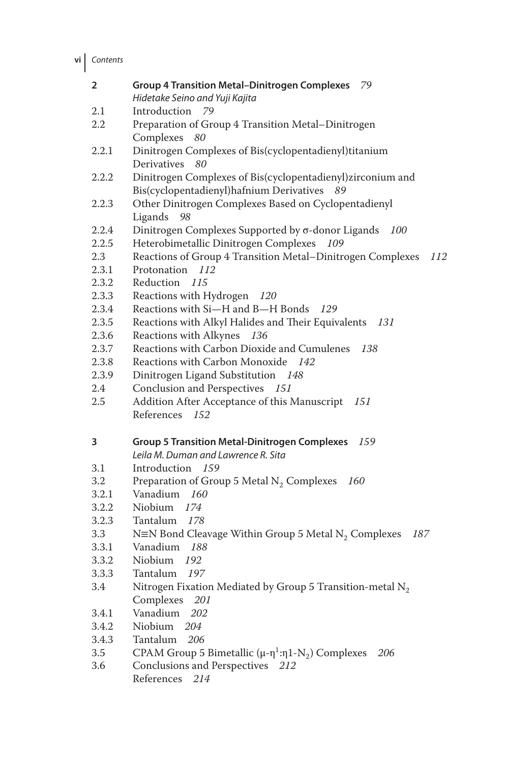**vi** Contents

| $\overline{2}$ | <b>Group 4 Transition Metal-Dinitrogen Complexes</b><br>79                                         |
|----------------|----------------------------------------------------------------------------------------------------|
|                | Hidetake Seino and Yuji Kajita                                                                     |
| 2.1            | Introduction<br>79                                                                                 |
| 2.2            | Preparation of Group 4 Transition Metal-Dinitrogen                                                 |
|                | Complexes 80                                                                                       |
| 2.2.1          | Dinitrogen Complexes of Bis(cyclopentadienyl)titanium                                              |
|                | Derivatives<br>80                                                                                  |
| 2.2.2          | Dinitrogen Complexes of Bis(cyclopentadienyl)zirconium and                                         |
|                | Bis(cyclopentadienyl)hafnium Derivatives 89                                                        |
| 2.2.3          | Other Dinitrogen Complexes Based on Cyclopentadienyl                                               |
|                | Ligands<br>98                                                                                      |
| 2.2.4          | Dinitrogen Complexes Supported by σ-donor Ligands 100                                              |
| 2.2.5          | 109                                                                                                |
| 2.3            | Heterobimetallic Dinitrogen Complexes                                                              |
|                | Reactions of Group 4 Transition Metal-Dinitrogen Complexes<br>112                                  |
| 2.3.1          | Protonation 112                                                                                    |
| 2.3.2          | Reduction 115                                                                                      |
| 2.3.3          | Reactions with Hydrogen 120                                                                        |
| 2.3.4          | Reactions with Si-H and B-H Bonds 129                                                              |
| 2.3.5          | Reactions with Alkyl Halides and Their Equivalents 131                                             |
| 2.3.6          | Reactions with Alkynes 136                                                                         |
| 2.3.7          | Reactions with Carbon Dioxide and Cumulenes<br>138                                                 |
| 2.3.8          | Reactions with Carbon Monoxide 142                                                                 |
| 2.3.9          | Dinitrogen Ligand Substitution 148                                                                 |
| 2.4            | Conclusion and Perspectives 151                                                                    |
| 2.5            | Addition After Acceptance of this Manuscript<br>151                                                |
|                | References<br>152                                                                                  |
|                |                                                                                                    |
| 3              | <b>Group 5 Transition Metal-Dinitrogen Complexes</b><br>159                                        |
|                | Leila M. Duman and Lawrence R. Sita                                                                |
| 3.1            | Introduction 159                                                                                   |
| 3.2            | Preparation of Group 5 Metal $N_2$ Complexes<br>160                                                |
| 3.2.1          | Vanadium 160                                                                                       |
| 3.2.2          | Niobium<br>174                                                                                     |
| 3.2.3          | Tantalum 178                                                                                       |
| 3.3            | N=N Bond Cleavage Within Group 5 Metal $N_2$ Complexes<br>187                                      |
| 3.3.1          | Vanadium 188                                                                                       |
| 3.3.2          | Niobium<br>192                                                                                     |
| 3.3.3          | Tantalum 197                                                                                       |
| 3.4            | Nitrogen Fixation Mediated by Group 5 Transition-metal $N_2$                                       |
|                | Complexes<br>201                                                                                   |
| 3.4.1          | Vanadium<br>202                                                                                    |
| 3.4.2          | Niobium<br>204                                                                                     |
| 3.4.3          | Tantalum<br>206                                                                                    |
| 3.5            | CPAM Group 5 Bimetallic ( $\mu$ - $\eta$ <sup>1</sup> : $\eta$ 1-N <sub>2</sub> ) Complexes<br>206 |
| 3.6            | Conclusions and Perspectives 212                                                                   |
|                | References<br>214                                                                                  |
|                |                                                                                                    |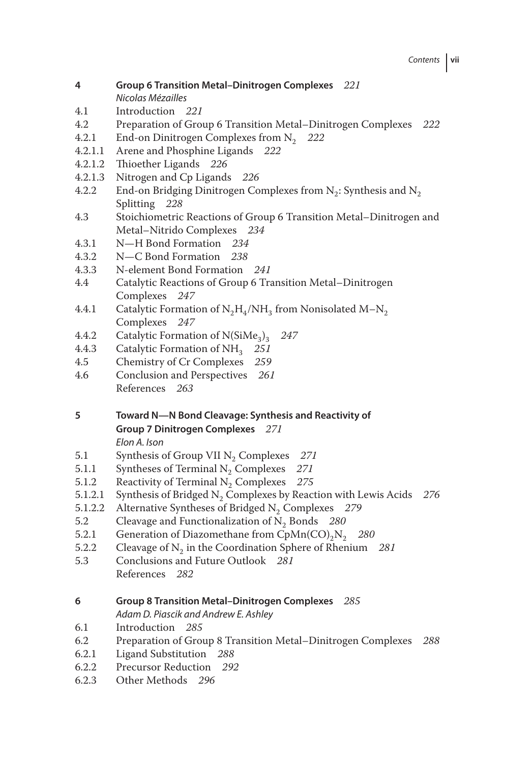- **4 Group 6 Transition Metal–Dinitrogen Complexes** *221* Nicolas Mézailles
- 4.1 Introduction *221*
- 4.2 Preparation of Group 6 Transition Metal–Dinitrogen Complexes *222*
- 4.2.1 End-on Dinitrogen Complexes from N2 *222*
- 4.2.1.1 Arene and Phosphine Ligands *222*
- 4.2.1.2 Thioether Ligands *226*
- 4.2.1.3 Nitrogen and Cp Ligands *226*
- 4.2.2 End-on Bridging Dinitrogen Complexes from  $N_2$ : Synthesis and  $N_2$ Splitting *228*
- 4.3 Stoichiometric Reactions of Group 6 Transition Metal–Dinitrogen and Metal–Nitrido Complexes *234*
- 4.3.1 N—H Bond Formation *234*
- 4.3.2 N—C Bond Formation *238*
- 4.3.3 N-element Bond Formation *241*
- 4.4 Catalytic Reactions of Group 6 Transition Metal–Dinitrogen Complexes *247*
- 4.4.1 Catalytic Formation of  $N_2H_4/NH_3$  from Nonisolated M–N<sub>2</sub> Complexes *247*
- 4.4.2 Catalytic Formation of N(SiMe<sub>3</sub>)<sub>3</sub> 247<br>4.4.3 Catalytic Formation of NH<sub>2</sub> 251
- 4.4.3 Catalytic Formation of NH<sub>3</sub> 251<br>4.5 Chemistry of Cr Complexes 259
- 4.5 Chemistry of Cr Complexes *259*
- 4.6 Conclusion and Perspectives *261* References *263*
- **5 Toward N—N Bond Cleavage: Synthesis and Reactivity of Group 7 Dinitrogen Complexes** *271* Elon A. Ison
	-
- 5.1 Synthesis of Group VII N2 Complexes *271*
- 5.1.1 Syntheses of Terminal  $N_2$  Complexes 271<br>5.1.2 Reactivity of Terminal  $N_2$  Complexes 275
- 5.1.2 Reactivity of Terminal N<sub>2</sub> Complexes 275<br>5.1.2.1 Synthesis of Bridged N<sub>2</sub> Complexes by Reac
- 5.1.2.1 Synthesis of Bridged  $N_2$  Complexes by Reaction with Lewis Acids *276*<br>5.1.2.2 Alternative Syntheses of Bridged N<sub>2</sub> Complexes *279*
- 5.1.2.2 Alternative Syntheses of Bridged  $N_2$  Complexes *279*<br>5.2 Cleavage and Functionalization of N<sub>2</sub> Bonds *280*
- 5.2 Cleavage and Functionalization of N<sub>2</sub> Bonds  $280$ <br>5.2.1 Generation of Diazomethane from CpMn(CO)<sub>2</sub>N<sub>2</sub>
- 5.2.1 Generation of Diazomethane from  $CpMn(CO)<sub>2</sub>N<sub>2</sub>$  280<br>5.2.2 Cleavage of N<sub>2</sub> in the Coordination Sphere of Rhenium
- 5.2.2 Cleavage of  $N_2$  in the Coordination Sphere of Rhenium *281*<br>5.3 Conclusions and Future Outlook *281*
- 5.3 Conclusions and Future Outlook *281* References *282*
- **6 Group 8 Transition Metal–Dinitrogen Complexes** *285*
	- Adam D. Piascik and Andrew E. Ashley
- 6.1 Introduction *285*
- 6.2 Preparation of Group 8 Transition Metal–Dinitrogen Complexes *288*
- 6.2.1 Ligand Substitution *288*
- 6.2.2 Precursor Reduction *292*
- 6.2.3 Other Methods *296*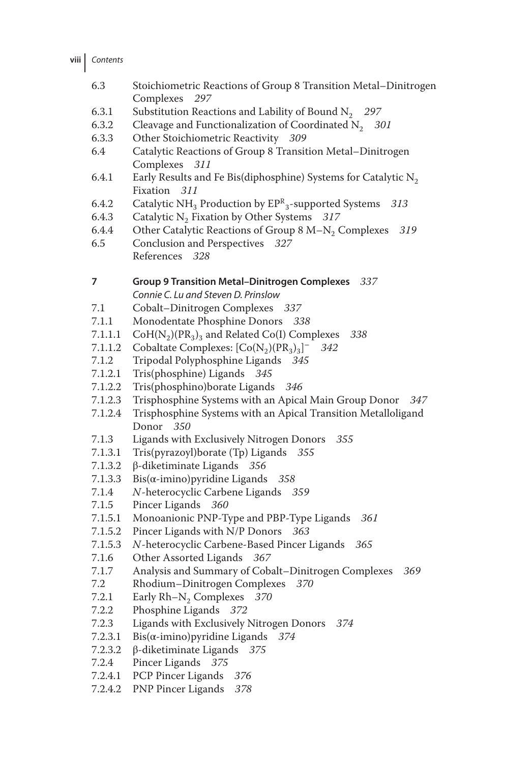| viii l | Contents |
|--------|----------|
|--------|----------|

- 6.3 Stoichiometric Reactions of Group 8 Transition Metal–Dinitrogen Complexes *297*
- 6.3.1 Substitution Reactions and Lability of Bound N<sub>2</sub> 297<br>6.3.2 Cleavage and Functionalization of Coordinated N<sub>2</sub> 30
- 6.3.2 Cleavage and Functionalization of Coordinated N<sub>2</sub> *301*<br>6.3.3 Other Stoichiometric Reactivity *309*
- 6.3.3 Other Stoichiometric Reactivity *309*
- 6.4 Catalytic Reactions of Group 8 Transition Metal–Dinitrogen Complexes *311*
- 6.4.1 Early Results and Fe Bis(diphosphine) Systems for Catalytic  $N_2$ Fixation *311*
- 6.4.2 Catalytic NH3 Production by EP<sup>R</sup> 3-supported Systems *313*
- 6.4.3 Catalytic N<sub>2</sub> Fixation by Other Systems *317*<br>6.4.4 Other Catalytic Reactions of Group 8 M-N<sub>2</sub>
- 6.4.4 Other Catalytic Reactions of Group 8 M–N<sub>2</sub> Complexes *319*<br>6.5 Conclusion and Perspectives 327
- 6.5 Conclusion and Perspectives *327* References *328*

**7 Group 9 Transition Metal–Dinitrogen Complexes** *337*

Connie C. Lu and Steven D. Prinslow

- 7.1 Cobalt–Dinitrogen Complexes *337*
- 7.1.1 Monodentate Phosphine Donors *338*
- 7.1.1.1  $\text{CoH}(N_2)(PR_3)_3$  and Related Co(I) Complexes 338<br>7.1.1.2 Cobaltate Complexes:  $\text{Co}(N_2)(PR_2)_2$ <sup>–</sup> 342
- 7.1.1.2 Cobaltate Complexes:  $[Co(N_2)(PR_3)_3]$ <sup>-</sup><br>7.1.2 Tripodal Polyphosphine Ligands 345 <sup>−</sup> *342*
- 7.1.2 Tripodal Polyphosphine Ligands *345*
- 7.1.2.1 Tris(phosphine) Ligands *345*
- 7.1.2.2 Tris(phosphino)borate Ligands *346*
- 7.1.2.3 Trisphosphine Systems with an Apical Main Group Donor *347*
- 7.1.2.4 Trisphosphine Systems with an Apical Transition Metalloligand Donor *350*
- 7.1.3 Ligands with Exclusively Nitrogen Donors *355*
- 7.1.3.1 Tris(pyrazoyl)borate (Tp) Ligands *355*
- 7.1.3.2 β-diketiminate Ligands *356*
- 7.1.3.3 Bis(α-imino)pyridine Ligands *358*
- 7.1.4 *N*-heterocyclic Carbene Ligands *359*
- 7.1.5 Pincer Ligands *360*
- 7.1.5.1 Monoanionic PNP-Type and PBP-Type Ligands *361*
- 7.1.5.2 Pincer Ligands with N/P Donors *363*
- 7.1.5.3 *N*-heterocyclic Carbene-Based Pincer Ligands *365*
- 7.1.6 Other Assorted Ligands *367*
- 7.1.7 Analysis and Summary of Cobalt–Dinitrogen Complexes *369*
- 7.2 Rhodium–Dinitrogen Complexes *370*
- 7.2.1 Early Rh–N<sub>2</sub> Complexes 370<br>7.2.2 Phosphine Ligands 372
- 7.2.2 Phosphine Ligands *372*
- 7.2.3 Ligands with Exclusively Nitrogen Donors *374*
- 7.2.3.1 Bis(α-imino)pyridine Ligands *374*
- 7.2.3.2 β-diketiminate Ligands *375*
- 7.2.4 Pincer Ligands *375*
- 7.2.4.1 PCP Pincer Ligands *376*
- 7.2.4.2 PNP Pincer Ligands *378*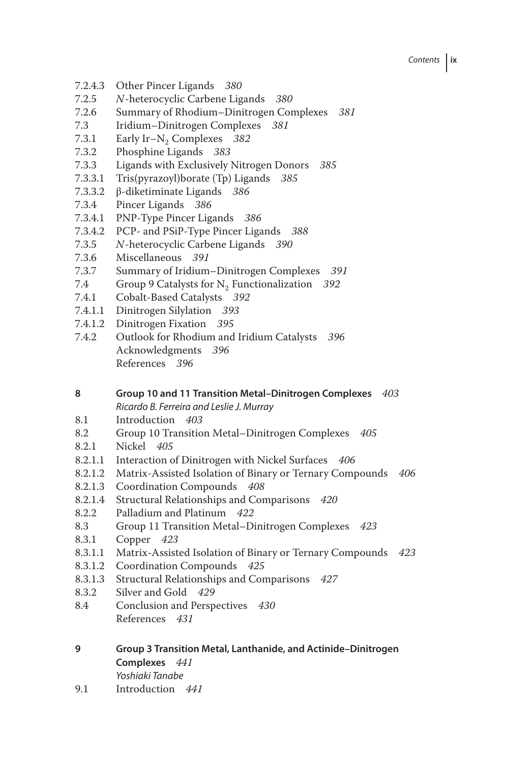## Contents **ix**

- 7.2.4.3 Other Pincer Ligands *380*
- 7.2.5 *N*-heterocyclic Carbene Ligands *380*
- 7.2.6 Summary of Rhodium–Dinitrogen Complexes *381*
- 7.3 Iridium–Dinitrogen Complexes *381*
- 7.3.1 Early Ir–N<sub>2</sub> Complexes 382<br>7.3.2 Phosphine Ligands 383
- 7.3.2 Phosphine Ligands *383*
- 7.3.3 Ligands with Exclusively Nitrogen Donors *385*
- 7.3.3.1 Tris(pyrazoyl)borate (Tp) Ligands *385*
- 7.3.3.2 β-diketiminate Ligands *386*
- 7.3.4 Pincer Ligands *386*
- 7.3.4.1 PNP-Type Pincer Ligands *386*
- 7.3.4.2 PCP- and PSiP-Type Pincer Ligands *388*
- 7.3.5 *N*-heterocyclic Carbene Ligands *390*
- 7.3.6 Miscellaneous *391*
- 7.3.7 Summary of Iridium–Dinitrogen Complexes *391*
- 7.4 Group 9 Catalysts for  $N_2$  Functionalization *392*<br>7.4.1 Cobalt-Based Catalysts *392*
- 7.4.1 Cobalt-Based Catalysts *392*
- 7.4.1.1 Dinitrogen Silylation *393*
- 7.4.1.2 Dinitrogen Fixation *395*
- 7.4.2 Outlook for Rhodium and Iridium Catalysts *396* Acknowledgments *396* References *396*

## **8 Group 10 and 11 Transition Metal–Dinitrogen Complexes** *403*

Ricardo B. Ferreira and Leslie J. Murray

- 8.1 Introduction *403*
- 8.2 Group 10 Transition Metal–Dinitrogen Complexes *405*
- 8.2.1 Nickel *405*
- 8.2.1.1 Interaction of Dinitrogen with Nickel Surfaces *406*
- 8.2.1.2 Matrix-Assisted Isolation of Binary or Ternary Compounds *406*
- 8.2.1.3 Coordination Compounds *408*
- 8.2.1.4 Structural Relationships and Comparisons *420*
- 8.2.2 Palladium and Platinum *422*
- 8.3 Group 11 Transition Metal–Dinitrogen Complexes *423*
- 8.3.1 Copper *423*
- 8.3.1.1 Matrix-Assisted Isolation of Binary or Ternary Compounds *423*
- 8.3.1.2 Coordination Compounds *425*
- 8.3.1.3 Structural Relationships and Comparisons *427*
- 8.3.2 Silver and Gold *429*
- 8.4 Conclusion and Perspectives *430* References *431*
- **9 Group 3 Transition Metal, Lanthanide, and Actinide–Dinitrogen Complexes** *441* Yoshiaki Tanabe
- 9.1 Introduction *441*